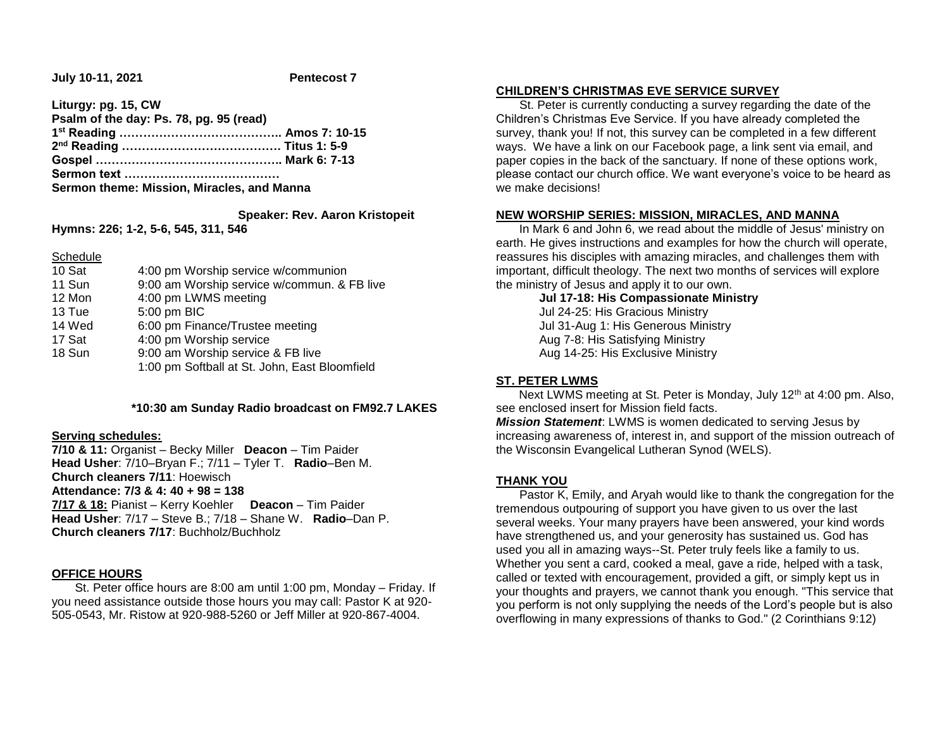**July 10-11, 2021 Pentecost 7**

| Liturgy: pg. 15, CW                        |  |
|--------------------------------------------|--|
| Psalm of the day: Ps. 78, pg. 95 (read)    |  |
|                                            |  |
|                                            |  |
|                                            |  |
|                                            |  |
| Sermon theme: Mission, Miracles, and Manna |  |

## **Speaker: Rev. Aaron Kristopeit**

**Hymns: 226; 1-2, 5-6, 545, 311, 546**

#### **Schedule**

| 10 Sat | 4:00 pm Worship service w/communion           |
|--------|-----------------------------------------------|
| 11 Sun | 9:00 am Worship service w/commun. & FB live   |
| 12 Mon | 4:00 pm LWMS meeting                          |
| 13 Tue | 5:00 pm BIC                                   |
| 14 Wed | 6:00 pm Finance/Trustee meeting               |
| 17 Sat | 4:00 pm Worship service                       |
| 18 Sun | 9:00 am Worship service & FB live             |
|        | 1:00 pm Softball at St. John, East Bloomfield |

#### **\*10:30 am Sunday Radio broadcast on FM92.7 LAKES**

#### **Serving schedules:**

**7/10 & 11:** Organist – Becky Miller **Deacon** – Tim Paider **Head Usher**: 7/10–Bryan F.; 7/11 – Tyler T. **Radio**–Ben M. **Church cleaners 7/11**: Hoewisch **Attendance: 7/3 & 4: 40 + 98 = 138 7/17 & 18:** Pianist – Kerry Koehler **Deacon** – Tim Paider **Head Usher**: 7/17 – Steve B.; 7/18 – Shane W. **Radio**–Dan P. **Church cleaners 7/17**: Buchholz/Buchholz

## **OFFICE HOURS**

 St. Peter office hours are 8:00 am until 1:00 pm, Monday – Friday. If you need assistance outside those hours you may call: Pastor K at 920- 505-0543, Mr. Ristow at 920-988-5260 or Jeff Miller at 920-867-4004.

## **CHILDREN'S CHRISTMAS EVE SERVICE SURVEY**

 St. Peter is currently conducting a survey regarding the date of the Children's Christmas Eve Service. If you have already completed the survey, thank you! If not, this survey can be completed in a few different ways. We have a link on our Facebook page, a link sent via email, and paper copies in the back of the sanctuary. If none of these options work, please contact our church office. We want everyone's voice to be heard as we make decisions!

#### **NEW WORSHIP SERIES: MISSION, MIRACLES, AND MANNA**

 In Mark 6 and John 6, we read about the middle of Jesus' ministry on earth. He gives instructions and examples for how the church will operate, reassures his disciples with amazing miracles, and challenges them with important, difficult theology. The next two months of services will explore the ministry of Jesus and apply it to our own.

**Jul 17-18: His Compassionate Ministry** Jul 24-25: His Gracious Ministry Jul 31-Aug 1: His Generous Ministry Aug 7-8: His Satisfying Ministry Aug 14-25: His Exclusive Ministry

## **ST. PETER LWMS**

Next LWMS meeting at St. Peter is Monday, July 12<sup>th</sup> at 4:00 pm. Also, see enclosed insert for Mission field facts.

*Mission Statement*: LWMS is women dedicated to serving Jesus by increasing awareness of, interest in, and support of the mission outreach of the Wisconsin Evangelical Lutheran Synod (WELS).

## **THANK YOU**

 Pastor K, Emily, and Aryah would like to thank the congregation for the tremendous outpouring of support you have given to us over the last several weeks. Your many prayers have been answered, your kind words have strengthened us, and your generosity has sustained us. God has used you all in amazing ways--St. Peter truly feels like a family to us. Whether you sent a card, cooked a meal, gave a ride, helped with a task, called or texted with encouragement, provided a gift, or simply kept us in your thoughts and prayers, we cannot thank you enough. "This service that you perform is not only supplying the needs of the Lord's people but is also overflowing in many expressions of thanks to God." (2 Corinthians 9:12)